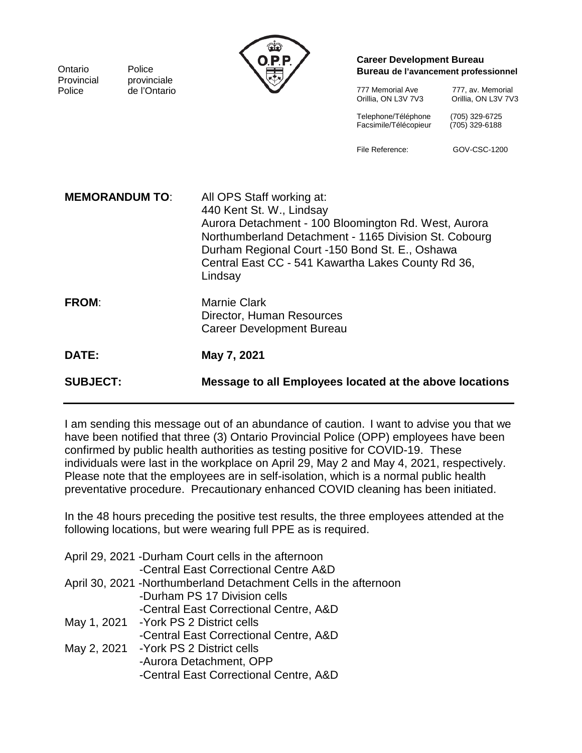| Ontario<br>Provincial | Police<br>provinciale | ශ්<br>0.P.P.                                                                                                                                                                                                                                                                              | <b>Career Development Bureau</b><br>Bureau de l'avancement professionnel |                                          |  |
|-----------------------|-----------------------|-------------------------------------------------------------------------------------------------------------------------------------------------------------------------------------------------------------------------------------------------------------------------------------------|--------------------------------------------------------------------------|------------------------------------------|--|
| Police                | de l'Ontario          |                                                                                                                                                                                                                                                                                           | 777 Memorial Ave<br>Orillia, ON L3V 7V3                                  | 777, av. Memorial<br>Orillia, ON L3V 7V3 |  |
|                       |                       |                                                                                                                                                                                                                                                                                           | Telephone/Téléphone<br>Facsimile/Télécopieur                             | (705) 329-6725<br>(705) 329-6188         |  |
|                       |                       |                                                                                                                                                                                                                                                                                           | File Reference:                                                          | GOV-CSC-1200                             |  |
| <b>MEMORANDUM TO:</b> |                       | All OPS Staff working at:<br>440 Kent St. W., Lindsay<br>Aurora Detachment - 100 Bloomington Rd. West, Aurora<br>Northumberland Detachment - 1165 Division St. Cobourg<br>Durham Regional Court -150 Bond St. E., Oshawa<br>Central East CC - 541 Kawartha Lakes County Rd 36,<br>Lindsay |                                                                          |                                          |  |
| <b>FROM:</b>          |                       | <b>Marnie Clark</b><br>Director, Human Resources<br><b>Career Development Bureau</b>                                                                                                                                                                                                      |                                                                          |                                          |  |
| DATE:                 |                       | May 7, 2021                                                                                                                                                                                                                                                                               |                                                                          |                                          |  |
| <b>SUBJECT:</b>       |                       | Message to all Employees located at the above locations                                                                                                                                                                                                                                   |                                                                          |                                          |  |

I am sending this message out of an abundance of caution. I want to advise you that we have been notified that three (3) Ontario Provincial Police (OPP) employees have been confirmed by public health authorities as testing positive for COVID-19. These individuals were last in the workplace on April 29, May 2 and May 4, 2021, respectively. Please note that the employees are in self-isolation, which is a normal public health preventative procedure. Precautionary enhanced COVID cleaning has been initiated.

In the 48 hours preceding the positive test results, the three employees attended at the following locations, but were wearing full PPE as is required.

|             | April 29, 2021 -Durham Court cells in the afternoon               |
|-------------|-------------------------------------------------------------------|
|             | -Central East Correctional Centre A&D                             |
|             | April 30, 2021 - Northumberland Detachment Cells in the afternoon |
|             | -Durham PS 17 Division cells                                      |
|             | -Central East Correctional Centre, A&D                            |
|             | May 1, 2021 - York PS 2 District cells                            |
|             | -Central East Correctional Centre, A&D                            |
| May 2, 2021 | -York PS 2 District cells                                         |
|             | -Aurora Detachment, OPP                                           |
|             | -Central East Correctional Centre, A&D                            |